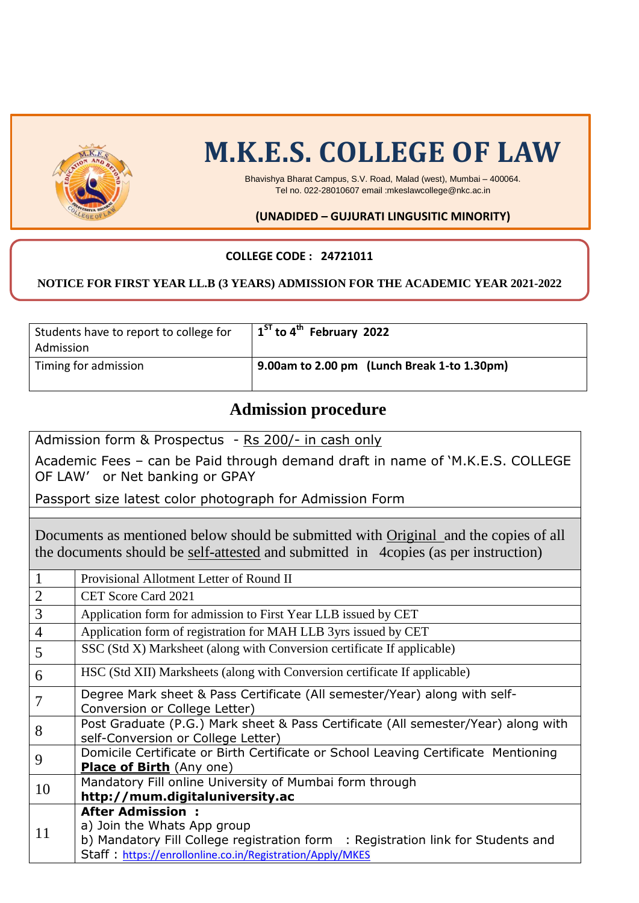

# **M.K.E.S. COLLEGE OF LAW**

Bhavishya Bharat Campus, S.V. Road, Malad (west), Mumbai – 400064. Tel no. 022-28010607 email :mkeslawcollege@nkc.ac.in

#### **(UNADIDED – GUJURATI LINGUSITIC MINORITY)**

#### **COLLEGE CODE : 24721011**

#### **NOTICE FOR FIRST YEAR LL.B (3 YEARS) ADMISSION FOR THE ACADEMIC YEAR 2021-2022**

| Students have to report to college for<br>Admission | $\frac{1}{2}$ 1 <sup>ST</sup> to 4 <sup>th</sup> February 2022 |
|-----------------------------------------------------|----------------------------------------------------------------|
| Timing for admission                                | 9.00am to 2.00 pm (Lunch Break 1-to 1.30pm)                    |

### **Admission procedure**

Admission form & Prospectus - Rs 200/- in cash only Academic Fees – can be Paid through demand draft in name of 'M.K.E.S. COLLEGE OF LAW' or Net banking or GPAY Passport size latest color photograph for Admission Form Documents as mentioned below should be submitted with Original and the copies of all the documents should be self-attested and submitted in 4copies (as per instruction) 1 Provisional Allotment Letter of Round II 2 CET Score Card 2021 3 Application form for admission to First Year LLB issued by CET 4 Application form of registration for MAH LLB 3yrs issued by CET 5 SSC (Std X) Marksheet (along with Conversion certificate If applicable) 6 HSC (Std XII) Marksheets (along with Conversion certificate If applicable) 7 Degree Mark sheet & Pass Certificate (All semester/Year) along with self-Conversion or College Letter) 8 Post Graduate (P.G.) Mark sheet & Pass Certificate (All semester/Year) along with self-Conversion or College Letter) 9 Domicile Certificate or Birth Certificate or School Leaving Certificate Mentioning **Place of Birth** (Any one) 10 | Mandatory Fill online University of Mumbai form through **[http://mum.digitaluniversity.ac](http://mum.digitaluniversity.ac/)**

11 **After Admission :**  a) Join the Whats App group b) Mandatory Fill College registration form : Registration link for Students and Staff : <https://enrollonline.co.in/Registration/Apply/MKES>